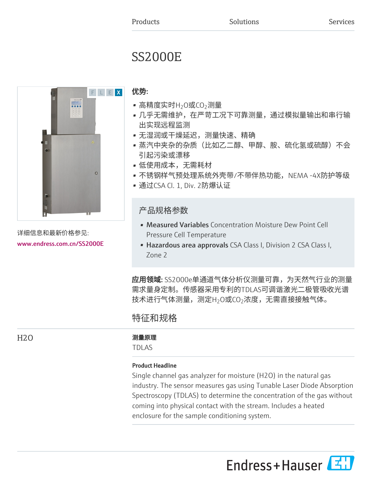# SS2000E



详细信息和最新价格参见: [www.endress.com.cn/SS2000E](https://www.endress.com.cn/SS2000E)

# 优势:

- 高精度实时H<sub>2</sub>O或CO<sub>2</sub>测量
- 几乎无需维护,在严苛工况下可靠测量,通过模拟量输出和串行输 出实现远程监测
- 无湿润或干燥延迟,测量快速、精确
- 蒸汽中夹杂的杂质(比如乙二醇、甲醇、胺、硫化氢或硫醇)不会 引起污染或漂移
- 低使用成本,无需耗材
- 不锈钢样气预处理系统外壳带/不带伴热功能,NEMA -4X防护等级
- 通过CSA Cl. 1, Div. 2防爆认证

# 产品规格参数

- Measured Variables Concentration Moisture Dew Point Cell Pressure Cell Temperature
- Hazardous area approvals CSA Class I, Division 2 CSA Class I, Zone 2

应用领域: SS2000e单通道气体分析仪测量可靠,为天然气行业的测量 需求量身定制。传感器采用专利的TDLAS可调谐激光二极管吸收光谱 技术进行气体测量,测定H $_2$ O或CO $_2$ 浓度,无需直接接触气体。

# 特征和规格

# H2O 2000 2000 2000 2000 测量原理

TDLAS

# Product Headline

Single channel gas analyzer for moisture (H2O) in the natural gas industry. The sensor measures gas using Tunable Laser Diode Absorption Spectroscopy (TDLAS) to determine the concentration of the gas without coming into physical contact with the stream. Includes a heated enclosure for the sample conditioning system.

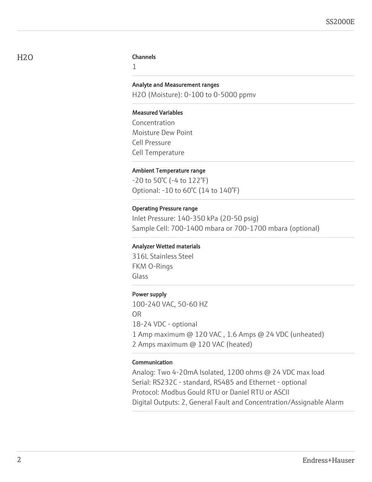#### H<sub>2</sub>O Channels

1

#### Analyte and Measurement ranges

H2O (Moisture): 0-100 to 0-5000 ppmv

#### Measured Variables

Concentration Moisture Dew Point Cell Pressure Cell Temperature

#### Ambient Temperature range

-20 to 50°C (-4 to 122°F) Optional: -10 to 60°C (14 to 140°F)

#### Operating Pressure range

Inlet Pressure: 140-350 kPa (20-50 psig) Sample Cell: 700-1400 mbara or 700-1700 mbara (optional)

#### Analyzer Wetted materials

316L Stainless Steel FKM O-Rings Glass

## Power supply

100-240 VAC, 50-60 HZ OR 18-24 VDC - optional 1 Amp maximum @ 120 VAC , 1.6 Amps @ 24 VDC (unheated) 2 Amps maximum @ 120 VAC (heated)

#### Communication

Analog: Two 4-20mA Isolated, 1200 ohms @ 24 VDC max load Serial: RS232C - standard, RS485 and Ethernet - optional Protocol: Modbus Gould RTU or Daniel RTU or ASCII Digital Outputs: 2, General Fault and Concentration/Assignable Alarm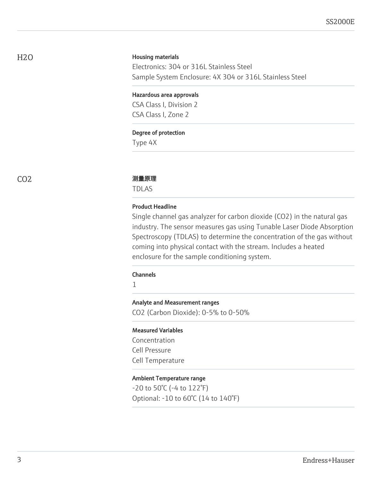#### Housing materials

Electronics: 304 or 316L Stainless Steel Sample System Enclosure: 4X 304 or 316L Stainless Steel

#### Hazardous area approvals

CSA Class I, Division 2 CSA Class I, Zone 2

#### Degree of protection

Type 4X

#### CO2 测量原理

TDLAS

#### Product Headline

Single channel gas analyzer for carbon dioxide (CO2) in the natural gas industry. The sensor measures gas using Tunable Laser Diode Absorption Spectroscopy (TDLAS) to determine the concentration of the gas without coming into physical contact with the stream. Includes a heated enclosure for the sample conditioning system.

# Channels

1

#### Analyte and Measurement ranges

CO2 (Carbon Dioxide): 0-5% to 0-50%

#### Measured Variables

Concentration Cell Pressure Cell Temperature

#### Ambient Temperature range

-20 to 50°C (-4 to 122°F) Optional: -10 to 60°C (14 to 140°F)